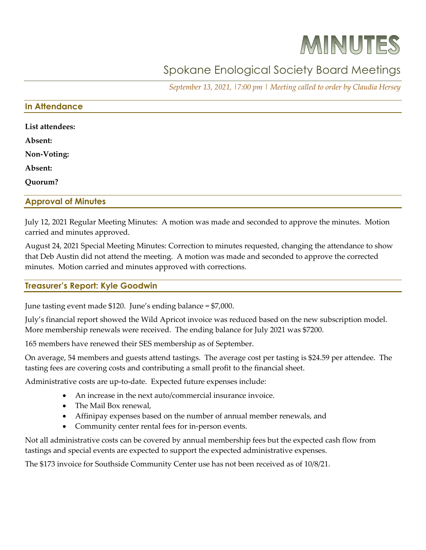# MINUTES

# Spokane Enological Society Board Meetings

*September 13, 2021, |7:00 pm | Meeting called to order by Claudia Hersey*

#### **In Attendance**

| List attendees: |  |  |
|-----------------|--|--|
| Absent:         |  |  |
| Non-Voting:     |  |  |
| Absent:         |  |  |
| Quorum?         |  |  |

#### **Approval of Minutes**

July 12, 2021 Regular Meeting Minutes: A motion was made and seconded to approve the minutes. Motion carried and minutes approved.

August 24, 2021 Special Meeting Minutes: Correction to minutes requested, changing the attendance to show that Deb Austin did not attend the meeting. A motion was made and seconded to approve the corrected minutes. Motion carried and minutes approved with corrections.

# **Treasurer's Report: Kyle Goodwin**

June tasting event made \$120. June's ending balance = \$7,000.

July's financial report showed the Wild Apricot invoice was reduced based on the new subscription model. More membership renewals were received. The ending balance for July 2021 was \$7200.

165 members have renewed their SES membership as of September.

On average, 54 members and guests attend tastings. The average cost per tasting is \$24.59 per attendee. The tasting fees are covering costs and contributing a small profit to the financial sheet.

Administrative costs are up-to-date. Expected future expenses include:

- An increase in the next auto/commercial insurance invoice.
- The Mail Box renewal,
- Affinipay expenses based on the number of annual member renewals, and
- Community center rental fees for in-person events.

Not all administrative costs can be covered by annual membership fees but the expected cash flow from tastings and special events are expected to support the expected administrative expenses.

The \$173 invoice for Southside Community Center use has not been received as of 10/8/21.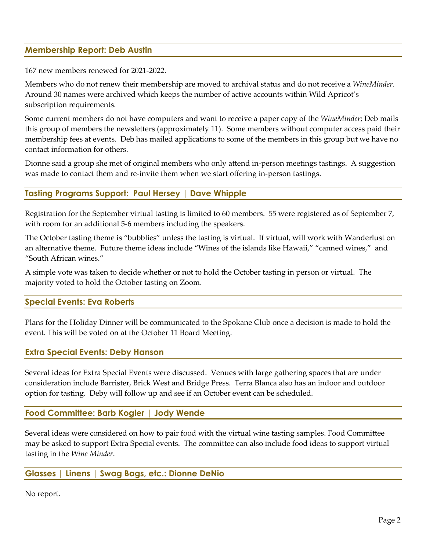# **Membership Report: Deb Austin**

167 new members renewed for 2021-2022.

Members who do not renew their membership are moved to archival status and do not receive a *WineMinder*. Around 30 names were archived which keeps the number of active accounts within Wild Apricot's subscription requirements.

Some current members do not have computers and want to receive a paper copy of the *WineMinder*; Deb mails this group of members the newsletters (approximately 11). Some members without computer access paid their membership fees at events. Deb has mailed applications to some of the members in this group but we have no contact information for others.

Dionne said a group she met of original members who only attend in-person meetings tastings. A suggestion was made to contact them and re-invite them when we start offering in-person tastings.

# **Tasting Programs Support: Paul Hersey | Dave Whipple**

Registration for the September virtual tasting is limited to 60 members. 55 were registered as of September 7, with room for an additional 5-6 members including the speakers.

The October tasting theme is "bubblies" unless the tasting is virtual. If virtual, will work with Wanderlust on an alternative theme. Future theme ideas include "Wines of the islands like Hawaii," "canned wines," and "South African wines."

A simple vote was taken to decide whether or not to hold the October tasting in person or virtual. The majority voted to hold the October tasting on Zoom.

#### **Special Events: Eva Roberts**

Plans for the Holiday Dinner will be communicated to the Spokane Club once a decision is made to hold the event. This will be voted on at the October 11 Board Meeting.

#### **Extra Special Events: Deby Hanson**

Several ideas for Extra Special Events were discussed. Venues with large gathering spaces that are under consideration include Barrister, Brick West and Bridge Press. Terra Blanca also has an indoor and outdoor option for tasting. Deby will follow up and see if an October event can be scheduled.

#### **Food Committee: Barb Kogler | Jody Wende**

Several ideas were considered on how to pair food with the virtual wine tasting samples. Food Committee may be asked to support Extra Special events. The committee can also include food ideas to support virtual tasting in the *Wine Minder*.

#### **Glasses | Linens | Swag Bags, etc.: Dionne DeNio**

No report.